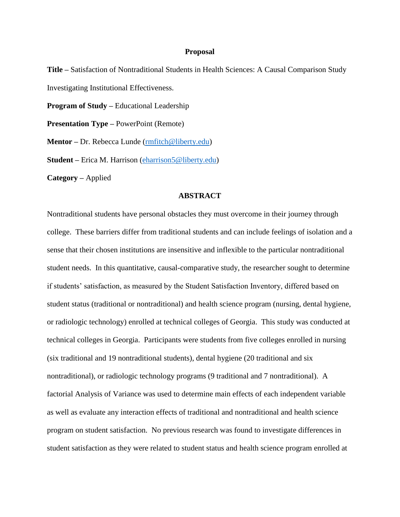## **Proposal**

**Title –** Satisfaction of Nontraditional Students in Health Sciences: A Causal Comparison Study Investigating Institutional Effectiveness.

**Program of Study –** Educational Leadership

**Presentation Type –** PowerPoint (Remote)

**Mentor** – Dr. Rebecca Lunde (*rmfitch@liberty.edu*)

**Student –** Erica M. Harrison [\(eharrison5@liberty.edu\)](mailto:eharrison5@liberty.edu)

**Category –** Applied

## **ABSTRACT**

Nontraditional students have personal obstacles they must overcome in their journey through college. These barriers differ from traditional students and can include feelings of isolation and a sense that their chosen institutions are insensitive and inflexible to the particular nontraditional student needs. In this quantitative, causal-comparative study, the researcher sought to determine if students' satisfaction, as measured by the Student Satisfaction Inventory, differed based on student status (traditional or nontraditional) and health science program (nursing, dental hygiene, or radiologic technology) enrolled at technical colleges of Georgia. This study was conducted at technical colleges in Georgia. Participants were students from five colleges enrolled in nursing (six traditional and 19 nontraditional students), dental hygiene (20 traditional and six nontraditional), or radiologic technology programs (9 traditional and 7 nontraditional). A factorial Analysis of Variance was used to determine main effects of each independent variable as well as evaluate any interaction effects of traditional and nontraditional and health science program on student satisfaction. No previous research was found to investigate differences in student satisfaction as they were related to student status and health science program enrolled at